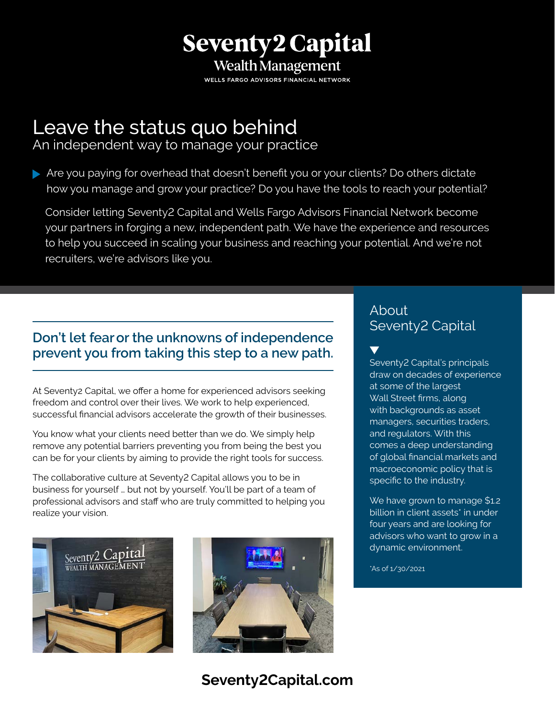# **Seventy2 Capital** Wealth Management

WELLS FARGO ADVISORS FINANCIAL NETWORK

# Leave the status quo behind

An independent way to manage your practice

Are you paying for overhead that doesn't benefit you or your clients? Do others dictate how you manage and grow your practice? Do you have the tools to reach your potential?

 Consider letting Seventy2 Capital and Wells Fargo Advisors Financial Network become your partners in forging a new, independent path. We have the experience and resources to help you succeed in scaling your business and reaching your potential. And we're not recruiters, we're advisors like you.

### **Don't let fear or the unknowns of independence prevent you from taking this step to a new path.**

At Seventy2 Capital, we offer a home for experienced advisors seeking freedom and control over their lives. We work to help experienced, successful financial advisors accelerate the growth of their businesses.

You know what your clients need better than we do. We simply help remove any potential barriers preventing you from being the best you can be for your clients by aiming to provide the right tools for success.

The collaborative culture at Seventy2 Capital allows you to be in business for yourself … but not by yourself. You'll be part of a team of professional advisors and staff who are truly committed to helping you realize your vision.





## **[Seventy2Capital.com](seventy2capital.com)**

### About Seventy2 Capital

Seventy2 Capital's principals draw on decades of experience at some of the largest Wall Street firms, along with backgrounds as asset managers, securities traders, and regulators. With this comes a deep understanding of global financial markets and macroeconomic policy that is specific to the industry.

We have grown to manage \$1.2 billion in client assets<sup>\*</sup> in under four years and are looking for advisors who want to grow in a dynamic environment.

\*As of 1/30/2021